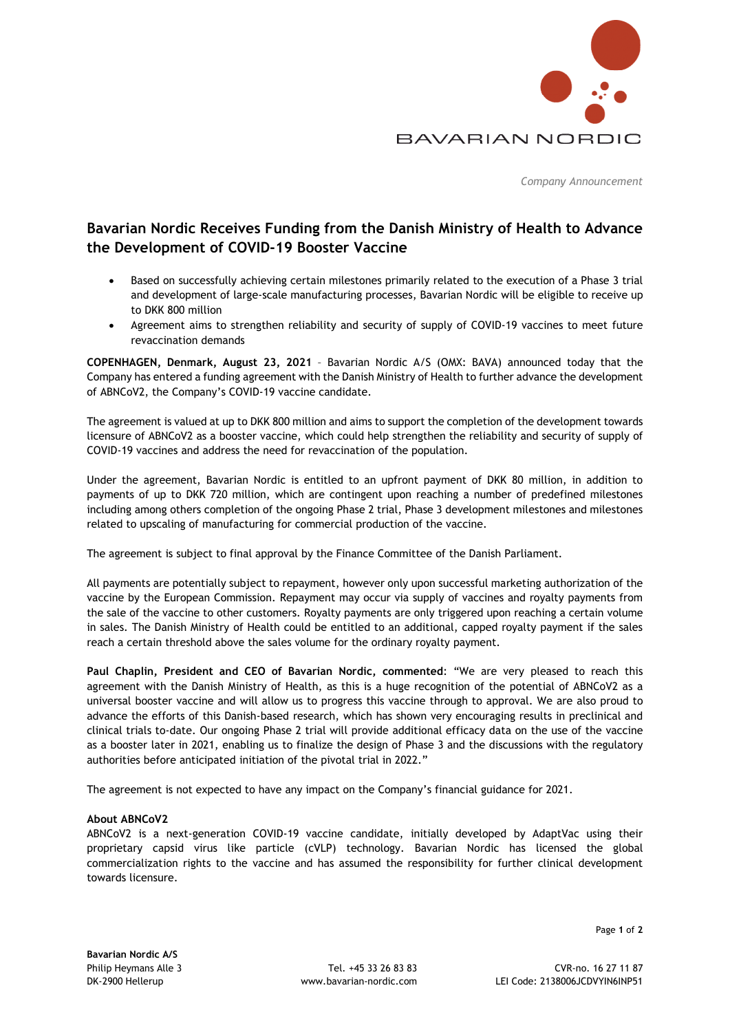

*Company Announcement* 

# **Bavarian Nordic Receives Funding from the Danish Ministry of Health to Advance the Development of COVID-19 Booster Vaccine**

- Based on successfully achieving certain milestones primarily related to the execution of a Phase 3 trial and development of large-scale manufacturing processes, Bavarian Nordic will be eligible to receive up to DKK 800 million
- Agreement aims to strengthen reliability and security of supply of COVID-19 vaccines to meet future revaccination demands

**COPENHAGEN, Denmark, August 23, 2021** – Bavarian Nordic A/S (OMX: BAVA) announced today that the Company has entered a funding agreement with the Danish Ministry of Health to further advance the development of ABNCoV2, the Company's COVID-19 vaccine candidate.

The agreement is valued at up to DKK 800 million and aims to support the completion of the development towards licensure of ABNCoV2 as a booster vaccine, which could help strengthen the reliability and security of supply of COVID-19 vaccines and address the need for revaccination of the population.

Under the agreement, Bavarian Nordic is entitled to an upfront payment of DKK 80 million, in addition to payments of up to DKK 720 million, which are contingent upon reaching a number of predefined milestones including among others completion of the ongoing Phase 2 trial, Phase 3 development milestones and milestones related to upscaling of manufacturing for commercial production of the vaccine.

The agreement is subject to final approval by the Finance Committee of the Danish Parliament.

All payments are potentially subject to repayment, however only upon successful marketing authorization of the vaccine by the European Commission. Repayment may occur via supply of vaccines and royalty payments from the sale of the vaccine to other customers. Royalty payments are only triggered upon reaching a certain volume in sales. The Danish Ministry of Health could be entitled to an additional, capped royalty payment if the sales reach a certain threshold above the sales volume for the ordinary royalty payment.

**Paul Chaplin, President and CEO of Bavarian Nordic, commented**: "We are very pleased to reach this agreement with the Danish Ministry of Health, as this is a huge recognition of the potential of ABNCoV2 as a universal booster vaccine and will allow us to progress this vaccine through to approval. We are also proud to advance the efforts of this Danish-based research, which has shown very encouraging results in preclinical and clinical trials to-date. Our ongoing Phase 2 trial will provide additional efficacy data on the use of the vaccine as a booster later in 2021, enabling us to finalize the design of Phase 3 and the discussions with the regulatory authorities before anticipated initiation of the pivotal trial in 2022."

The agreement is not expected to have any impact on the Company's financial guidance for 2021.

## **About ABNCoV2**

ABNCoV2 is a next-generation COVID-19 vaccine candidate, initially developed by AdaptVac using their proprietary capsid virus like particle (cVLP) technology. Bavarian Nordic has licensed the global commercialization rights to the vaccine and has assumed the responsibility for further clinical development towards licensure.

Page **1** of **2**